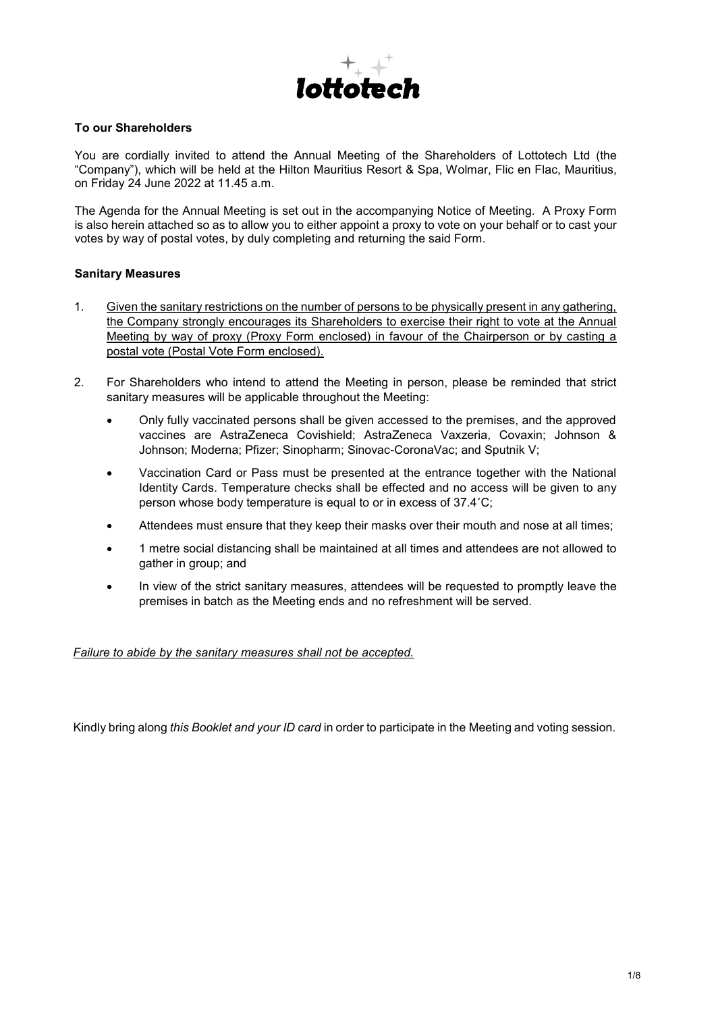

# **To our Shareholders**

You are cordially invited to attend the Annual Meeting of the Shareholders of Lottotech Ltd (the "Company"), which will be held at the Hilton Mauritius Resort & Spa, Wolmar, Flic en Flac, Mauritius, on Friday 24 June 2022 at 11.45 a.m.

The Agenda for the Annual Meeting is set out in the accompanying Notice of Meeting. A Proxy Form is also herein attached so as to allow you to either appoint a proxy to vote on your behalf or to cast your votes by way of postal votes, by duly completing and returning the said Form.

### Name : …………………………………………………………………………… **Sanitary Measures**

- Address : …………………………………………………………………………… the Company strongly encourages its Shareholders to exercise their right to vote at the Annual Meeting by way of proxy (Proxy Form enclosed) in favour of the Chairperson or by casting a 1. Given the sanitary restrictions on the number of persons to be physically present in any gathering, postal vote (Postal Vote Form enclosed).
- 2. For Shareholders who intend to attend the Meeting in person, please be reminded that strict sanitary measures will be applicable throughout the Meeting:
	- Only fully vaccinated persons shall be given accessed to the premises, and the approved vaccines are AstraZeneca Covishield; AstraZeneca Vaxzeria, Covaxin; Johnson & Johnson; Moderna; Pfizer; Sinopharm; Sinovac-CoronaVac; and Sputnik V;
	- Vaccination Card or Pass must be presented at the entrance together with the National Identity Cards. Temperature checks shall be effected and no access will be given to any person whose body temperature is equal to or in excess of 37.4˚C;
	- Attendees must ensure that they keep their masks over their mouth and nose at all times;
	- 1 metre social distancing shall be maintained at all times and attendees are not allowed to gather in group; and
	- In view of the strict sanitary measures, attendees will be requested to promptly leave the premises in batch as the Meeting ends and no refreshment will be served.

*Failure to abide by the sanitary measures shall not be accepted.* 

Kindly bring along *this Booklet and your ID card* in order to participate in the Meeting and voting session.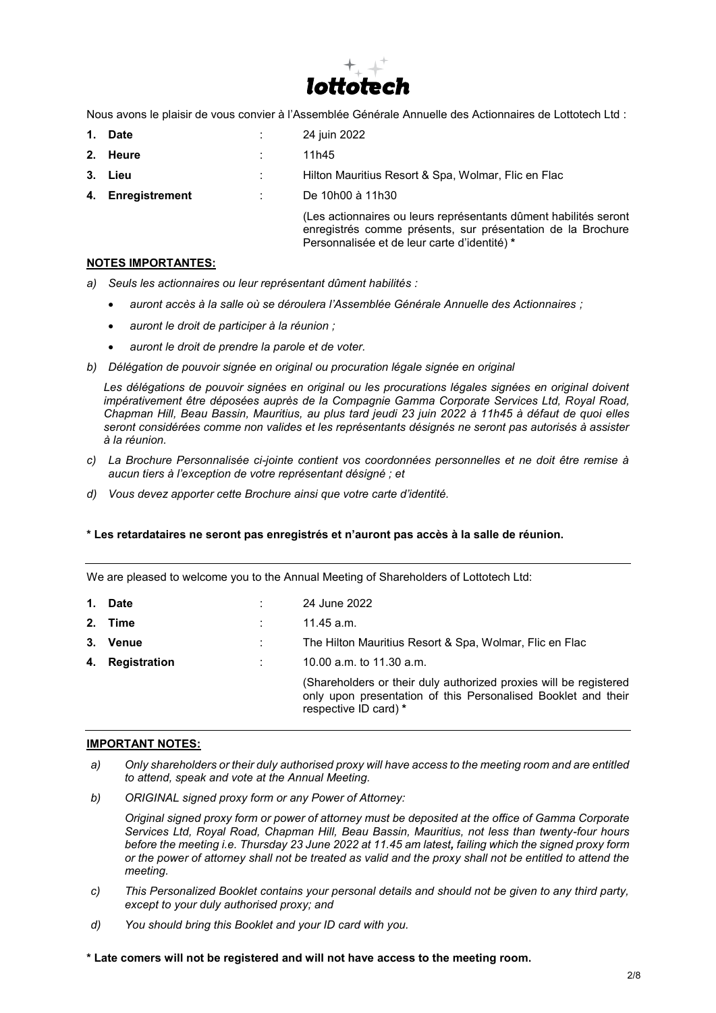

Nous avons le plaisir de vous convier à l'Assemblée Générale Annuelle des Actionnaires de Lottotech Ltd :

**1. Date** : 24 juin 2022 **2. Heure** : 11h45 **3. Lieu** : Filton Mauritius Resort & Spa, Wolmar, Flic en Flac **4. Enregistrement** : De 10h00 à 11h30 (Les actionnaires ou leurs représentants dûment habilités seront enregistrés comme présents, sur présentation de la Brochure Personnalisée et de leur carte d'identité) **\***

#### **NOTES IMPORTANTES:**

*a) Seuls les actionnaires ou leur représentant dûment habilités :* 

- *auront accès à la salle où se déroulera l'Assemblée Générale Annuelle des Actionnaires ;*
- *auront le droit de participer à la réunion ;*
- *auront le droit de prendre la parole et de voter.*
- *b) Délégation de pouvoir signée en original ou procuration légale signée en original*

Les délégations de pouvoir signées en original ou les procurations légales signées en original doivent *impérativement être déposées auprès de la Compagnie Gamma Corporate Services Ltd, Royal Road, Chapman Hill, Beau Bassin, Mauritius, au plus tard jeudi 23 juin 2022 à 11h45 à défaut de quoi elles seront considérées comme non valides et les représentants désignés ne seront pas autorisés à assister à la réunion.*

- *c) La Brochure Personnalisée ci-jointe contient vos coordonnées personnelles et ne doit être remise à aucun tiers à l'exception de votre représentant désigné ; et*
- *d) Vous devez apporter cette Brochure ainsi que votre carte d'identité.*

#### **\* Les retardataires ne seront pas enregistrés et n'auront pas accès à la salle de réunion.**

|  |  |  | We are pleased to welcome you to the Annual Meeting of Shareholders of Lottotech Ltd: |
|--|--|--|---------------------------------------------------------------------------------------|
|  |  |  |                                                                                       |

| 1. | Date            | 24 June 2022                                                                                                                                                |
|----|-----------------|-------------------------------------------------------------------------------------------------------------------------------------------------------------|
|    | 2. Time         | 11.45 a.m.                                                                                                                                                  |
|    | 3. Venue        | The Hilton Mauritius Resort & Spa, Wolmar, Flic en Flac                                                                                                     |
|    | 4. Registration | 10.00 a.m. to 11.30 a.m.                                                                                                                                    |
|    |                 | (Shareholders or their duly authorized proxies will be registered<br>only upon presentation of this Personalised Booklet and their<br>respective ID card) * |

### **IMPORTANT NOTES:**

- *a) Only shareholders or their duly authorised proxy will have access to the meeting room and are entitled to attend, speak and vote at the Annual Meeting.*
- *b) ORIGINAL signed proxy form or any Power of Attorney:*

*Original signed proxy form or power of attorney must be deposited at the office of Gamma Corporate Services Ltd, Royal Road, Chapman Hill, Beau Bassin, Mauritius, not less than twenty-four hours before the meeting i.e. Thursday 23 June 2022 at 11.45 am latest, failing which the signed proxy form or the power of attorney shall not be treated as valid and the proxy shall not be entitled to attend the meeting.*

- *c) This Personalized Booklet contains your personal details and should not be given to any third party, except to your duly authorised proxy; and*
- *d) You should bring this Booklet and your ID card with you.*

**\* Late comers will not be registered and will not have access to the meeting room.**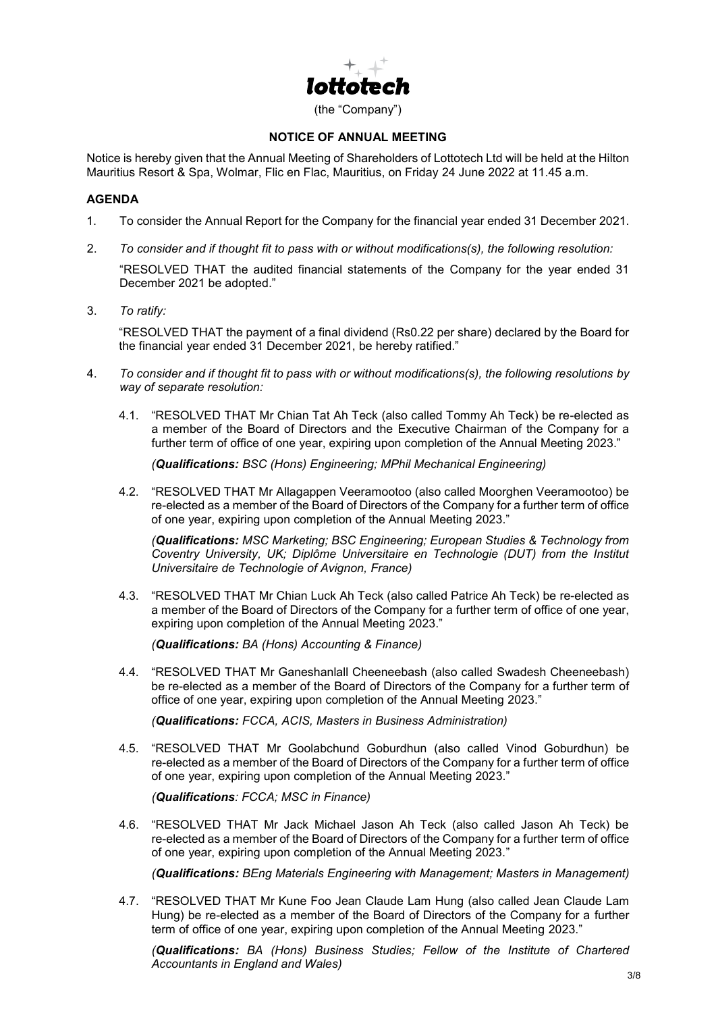

## **NOTICE OF ANNUAL MEETING**

Notice is hereby given that the Annual Meeting of Shareholders of Lottotech Ltd will be held at the Hilton Mauritius Resort & Spa, Wolmar, Flic en Flac, Mauritius, on Friday 24 June 2022 at 11.45 a.m.

## **AGENDA**

- 1. To consider the Annual Report for the Company for the financial year ended 31 December 2021.
- 2. *To consider and if thought fit to pass with or without modifications(s), the following resolution:*

"RESOLVED THAT the audited financial statements of the Company for the year ended 31 December 2021 be adopted."

3. *To ratify:*

"RESOLVED THAT the payment of a final dividend (Rs0.22 per share) declared by the Board for the financial year ended 31 December 2021, be hereby ratified."

- 4. *To consider and if thought fit to pass with or without modifications(s), the following resolutions by way of separate resolution:*
	- 4.1. "RESOLVED THAT Mr Chian Tat Ah Teck (also called Tommy Ah Teck) be re-elected as a member of the Board of Directors and the Executive Chairman of the Company for a further term of office of one year, expiring upon completion of the Annual Meeting 2023."

*(Qualifications: BSC (Hons) Engineering; MPhil Mechanical Engineering)*

4.2. "RESOLVED THAT Mr Allagappen Veeramootoo (also called Moorghen Veeramootoo) be re-elected as a member of the Board of Directors of the Company for a further term of office of one year, expiring upon completion of the Annual Meeting 2023."

*(Qualifications: MSC Marketing; BSC Engineering; European Studies & Technology from Coventry University, UK; Diplôme Universitaire en Technologie (DUT) from the Institut Universitaire de Technologie of Avignon, France)*

4.3. "RESOLVED THAT Mr Chian Luck Ah Teck (also called Patrice Ah Teck) be re-elected as a member of the Board of Directors of the Company for a further term of office of one year, expiring upon completion of the Annual Meeting 2023."

*(Qualifications: BA (Hons) Accounting & Finance)*

4.4. "RESOLVED THAT Mr Ganeshanlall Cheeneebash (also called Swadesh Cheeneebash) be re-elected as a member of the Board of Directors of the Company for a further term of office of one year, expiring upon completion of the Annual Meeting 2023."

*(Qualifications: FCCA, ACIS, Masters in Business Administration)*

4.5. "RESOLVED THAT Mr Goolabchund Goburdhun (also called Vinod Goburdhun) be re-elected as a member of the Board of Directors of the Company for a further term of office of one year, expiring upon completion of the Annual Meeting 2023."

*(Qualifications: FCCA; MSC in Finance)*

4.6. "RESOLVED THAT Mr Jack Michael Jason Ah Teck (also called Jason Ah Teck) be re-elected as a member of the Board of Directors of the Company for a further term of office of one year, expiring upon completion of the Annual Meeting 2023."

*(Qualifications: BEng Materials Engineering with Management; Masters in Management)*

4.7. "RESOLVED THAT Mr Kune Foo Jean Claude Lam Hung (also called Jean Claude Lam Hung) be re-elected as a member of the Board of Directors of the Company for a further term of office of one year, expiring upon completion of the Annual Meeting 2023."

*(Qualifications: BA (Hons) Business Studies; Fellow of the Institute of Chartered Accountants in England and Wales)*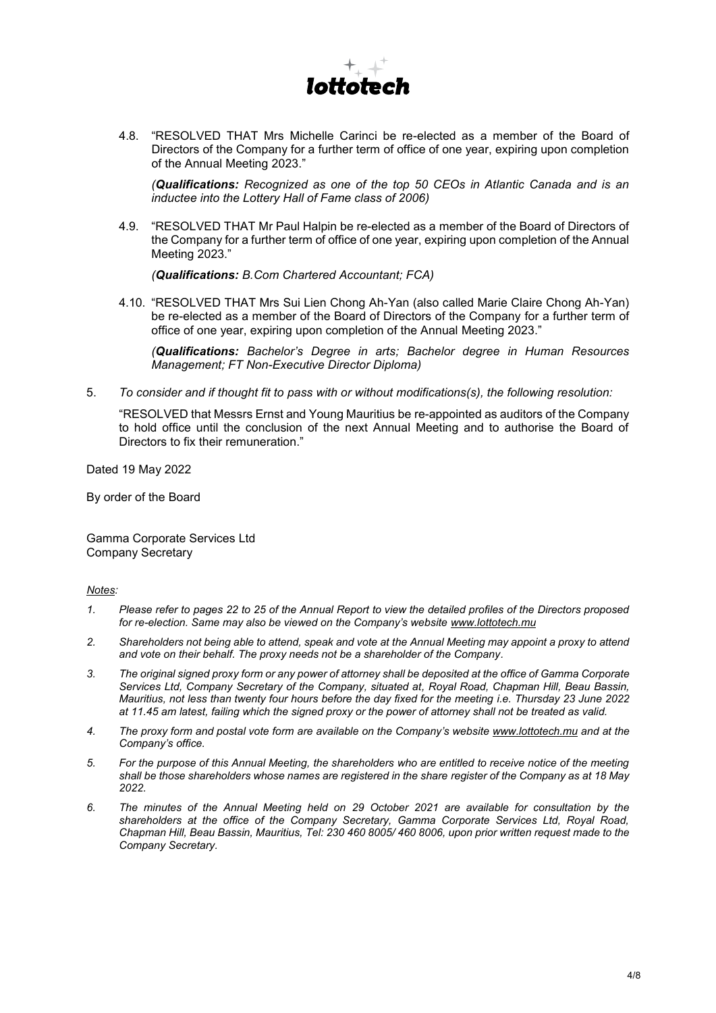

4.8. "RESOLVED THAT Mrs Michelle Carinci be re-elected as a member of the Board of Directors of the Company for a further term of office of one year, expiring upon completion of the Annual Meeting 2023."

*(Qualifications: Recognized as one of the top 50 CEOs in Atlantic Canada and is an inductee into the Lottery Hall of Fame class of 2006)*

4.9. "RESOLVED THAT Mr Paul Halpin be re-elected as a member of the Board of Directors of the Company for a further term of office of one year, expiring upon completion of the Annual Meeting 2023."

*(Qualifications: B.Com Chartered Accountant; FCA)*

4.10. "RESOLVED THAT Mrs Sui Lien Chong Ah-Yan (also called Marie Claire Chong Ah-Yan) be re-elected as a member of the Board of Directors of the Company for a further term of office of one year, expiring upon completion of the Annual Meeting 2023."

*(Qualifications: Bachelor's Degree in arts; Bachelor degree in Human Resources Management; FT Non-Executive Director Diploma)*

5. *To consider and if thought fit to pass with or without modifications(s), the following resolution:*

"RESOLVED that Messrs Ernst and Young Mauritius be re-appointed as auditors of the Company to hold office until the conclusion of the next Annual Meeting and to authorise the Board of Directors to fix their remuneration."

Dated 19 May 2022

By order of the Board

Gamma Corporate Services Ltd Company Secretary

#### *Notes:*

- *1. Please refer to pages 22 to 25 of the Annual Report to view the detailed profiles of the Directors proposed for re-election. Same may also be viewed on the Company's website www.lottotech.mu*
- *2. Shareholders not being able to attend, speak and vote at the Annual Meeting may appoint a proxy to attend and vote on their behalf. The proxy needs not be a shareholder of the Company.*
- *3. The original signed proxy form or any power of attorney shall be deposited at the office of Gamma Corporate Services Ltd, Company Secretary of the Company, situated at, Royal Road, Chapman Hill, Beau Bassin, Mauritius, not less than twenty four hours before the day fixed for the meeting i.e. Thursday 23 June 2022 at 11.45 am latest, failing which the signed proxy or the power of attorney shall not be treated as valid.*
- *4. The proxy form and postal vote form are available on the Company's website www.lottotech.mu and at the Company's office.*
- *5. For the purpose of this Annual Meeting, the shareholders who are entitled to receive notice of the meeting shall be those shareholders whose names are registered in the share register of the Company as at 18 May 2022.*
- *6. The minutes of the Annual Meeting held on 29 October 2021 are available for consultation by the shareholders at the office of the Company Secretary, Gamma Corporate Services Ltd, Royal Road, Chapman Hill, Beau Bassin, Mauritius, Tel: 230 460 8005/ 460 8006, upon prior written request made to the Company Secretary.*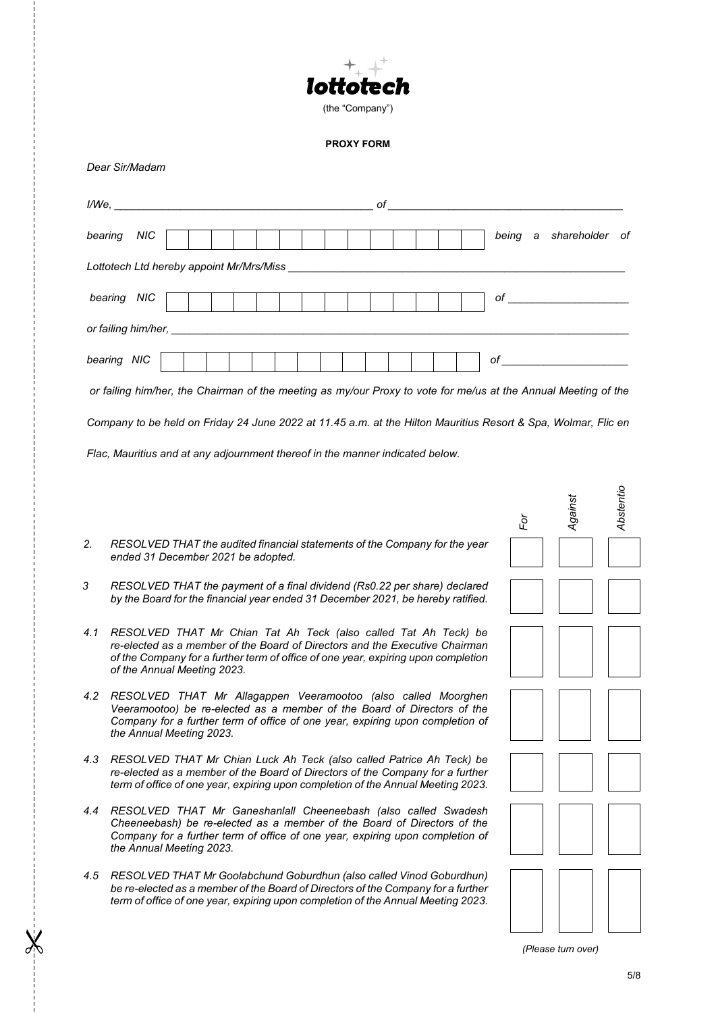

### **PROXY FORM**

*Dear Sir/Madam*

 $\frac{1}{2}$ 

| I/We, |                                                                                                                                                                                                                                                                    | of |                            |
|-------|--------------------------------------------------------------------------------------------------------------------------------------------------------------------------------------------------------------------------------------------------------------------|----|----------------------------|
|       | <b>NIC</b><br>bearing                                                                                                                                                                                                                                              |    | being a shareholder of     |
|       |                                                                                                                                                                                                                                                                    |    |                            |
|       | bearing NIC                                                                                                                                                                                                                                                        |    | of                         |
|       |                                                                                                                                                                                                                                                                    |    |                            |
|       | bearing NIC                                                                                                                                                                                                                                                        |    |                            |
|       | or failing him/her, the Chairman of the meeting as my/our Proxy to vote for me/us at the Annual Meeting of the                                                                                                                                                     |    |                            |
|       | Company to be held on Friday 24 June 2022 at 11.45 a.m. at the Hilton Mauritius Resort & Spa, Wolmar, Flic en                                                                                                                                                      |    |                            |
|       | Flac, Mauritius and at any adjournment thereof in the manner indicated below.                                                                                                                                                                                      |    |                            |
|       |                                                                                                                                                                                                                                                                    |    | Abstentio<br>Against<br>Ĕò |
| 2.    | RESOLVED THAT the audited financial statements of the Company for the year<br>ended 31 December 2021 be adopted.                                                                                                                                                   |    |                            |
| 3     | RESOLVED THAT the payment of a final dividend (Rs0.22 per share) declared<br>by the Board for the financial year ended 31 December 2021, be hereby ratified.                                                                                                       |    |                            |
| 4.1   | RESOLVED THAT Mr Chian Tat Ah Teck (also called Tat Ah Teck) be<br>re-elected as a member of the Board of Directors and the Executive Chairman<br>of the Company for a further term of office of one year, expiring upon completion<br>of the Annual Meeting 2023. |    |                            |
| 4.2   | RESOLVED THAT Mr Allagappen Veeramootoo (also called Moorghen<br>Veeramootoo) be re-elected as a member of the Board of Directors of the<br>Company for a further term of office of one year, expiring upon completion of<br>the Annual Meeting 2023.              |    |                            |
| 4.3   | RESOLVED THAT Mr Chian Luck Ah Teck (also called Patrice Ah Teck) be<br>re-elected as a member of the Board of Directors of the Company for a further<br>term of office of one year, expiring upon completion of the Annual Meeting 2023.                          |    |                            |
| 4.4   | RESOLVED THAT Mr Ganeshanlall Cheeneebash (also called Swadesh<br>Cheeneebash) be re-elected as a member of the Board of Directors of the<br>Company for a further term of office of one year, expiring upon completion of<br>the Annual Meeting 2023.             |    |                            |
| 4.5   | RESOLVED THAT Mr Goolabchund Goburdhun (also called Vinod Goburdhun)                                                                                                                                                                                               |    |                            |

*be re-elected as a member of the Board of Directors of the Company for a further term of office of one year, expiring upon completion of the Annual Meeting 2023.*

*(Please turn over)*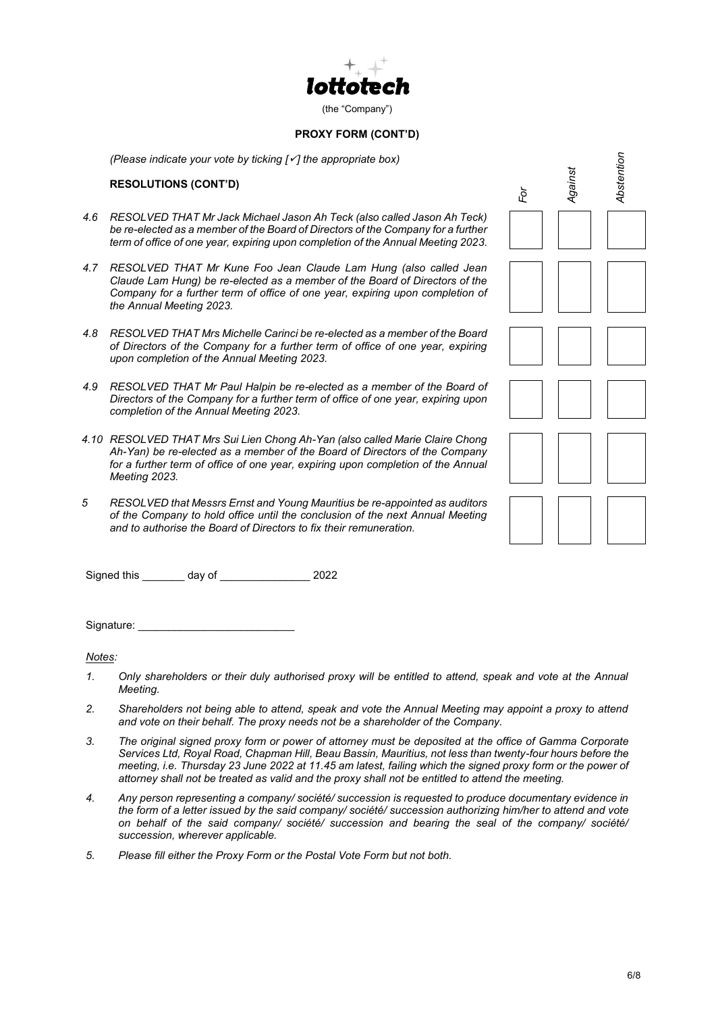

### **PROXY FORM (CONT'D)**

*(Please indicate your vote by ticking [] the appropriate box)*

### **RESOLUTIONS (CONT'D)**

- *4.6 RESOLVED THAT Mr Jack Michael Jason Ah Teck (also called Jason Ah Teck) be re-elected as a member of the Board of Directors of the Company for a further term of office of one year, expiring upon completion of the Annual Meeting 2023.*
- *4.7 RESOLVED THAT Mr Kune Foo Jean Claude Lam Hung (also called Jean Claude Lam Hung) be re-elected as a member of the Board of Directors of the*  Company for a further term of office of one year, expiring upon completion of *the Annual Meeting 2023.*
- *4.8 RESOLVED THAT Mrs Michelle Carinci be re-elected as a member of the Board of Directors of the Company for a further term of office of one year, expiring upon completion of the Annual Meeting 2023.*
- *4.9 RESOLVED THAT Mr Paul Halpin be re-elected as a member of the Board of Directors of the Company for a further term of office of one year, expiring upon completion of the Annual Meeting 2023.*
- *4.10 RESOLVED THAT Mrs Sui Lien Chong Ah-Yan (also called Marie Claire Chong Ah-Yan) be re-elected as a member of the Board of Directors of the Company*  for a further term of office of one year, expiring upon completion of the Annual *Meeting 2023.*
- *5 RESOLVED that Messrs Ernst and Young Mauritius be re-appointed as auditors of the Company to hold office until the conclusion of the next Annual Meeting and to authorise the Board of Directors to fix their remuneration.*

Signed this day of 2022

Signature: \_\_\_\_\_\_\_\_\_\_\_\_\_\_\_\_\_\_\_\_\_\_\_\_\_\_

*Notes:* 

- *1. Only shareholders or their duly authorised proxy will be entitled to attend, speak and vote at the Annual Meeting.*
- *2. Shareholders not being able to attend, speak and vote the Annual Meeting may appoint a proxy to attend and vote on their behalf. The proxy needs not be a shareholder of the Company.*
- *3. The original signed proxy form or power of attorney must be deposited at the office of Gamma Corporate Services Ltd, Royal Road, Chapman Hill, Beau Bassin, Mauritius, not less than twenty-four hours before the meeting, i.e. Thursday 23 June 2022 at 11.45 am latest, failing which the signed proxy form or the power of attorney shall not be treated as valid and the proxy shall not be entitled to attend the meeting.*
- *4. Any person representing a company/ société/ succession is requested to produce documentary evidence in the form of a letter issued by the said company/ société/ succession authorizing him/her to attend and vote on behalf of the said company/ société/ succession and bearing the seal of the company/ société/ succession, wherever applicable.*
- *5. Please fill either the Proxy Form or the Postal Vote Form but not both.*

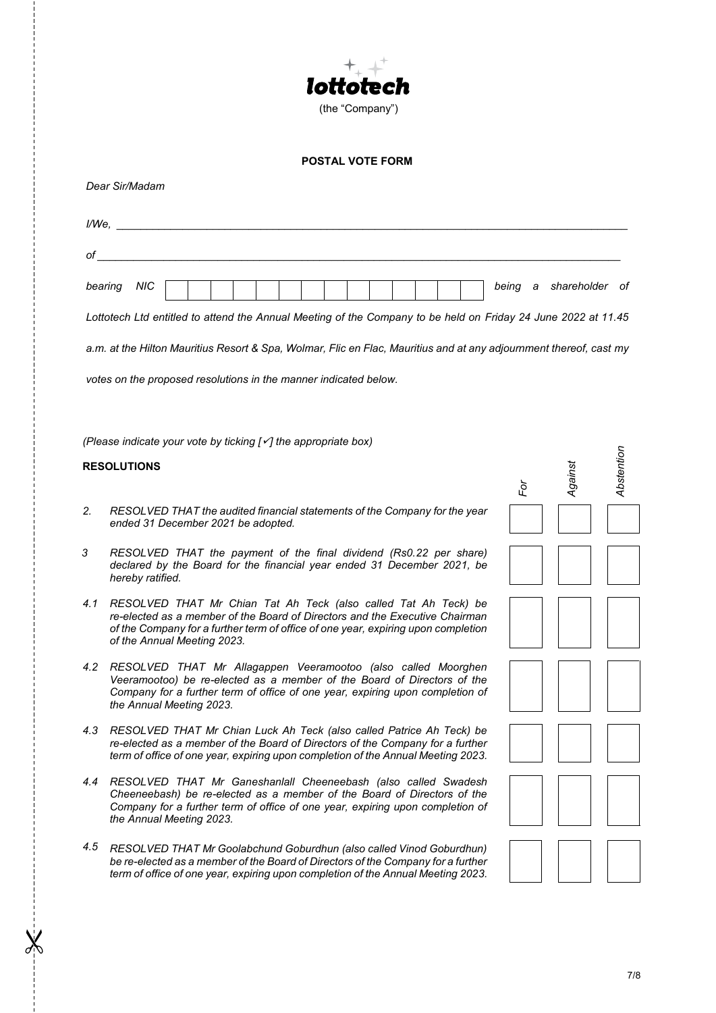

# **POSTAL VOTE FORM**

|  | Dear Sir/Madam |
|--|----------------|
|--|----------------|

 $\sigma$ 

| l/We.   |                                                                                                                                                                                                                                                                    |
|---------|--------------------------------------------------------------------------------------------------------------------------------------------------------------------------------------------------------------------------------------------------------------------|
| оf      |                                                                                                                                                                                                                                                                    |
| bearing | NIC<br>shareholder of<br>being a                                                                                                                                                                                                                                   |
|         | Lottotech Ltd entitled to attend the Annual Meeting of the Company to be held on Friday 24 June 2022 at 11.45                                                                                                                                                      |
|         | a.m. at the Hilton Mauritius Resort & Spa, Wolmar, Flic en Flac, Mauritius and at any adjournment thereof, cast my                                                                                                                                                 |
|         | votes on the proposed resolutions in the manner indicated below.                                                                                                                                                                                                   |
|         |                                                                                                                                                                                                                                                                    |
|         | (Please indicate your vote by ticking $[\checkmark]$ the appropriate box)                                                                                                                                                                                          |
|         | Abstention<br>Against<br><b>RESOLUTIONS</b>                                                                                                                                                                                                                        |
| 2.      | For<br>RESOLVED THAT the audited financial statements of the Company for the year                                                                                                                                                                                  |
|         | ended 31 December 2021 be adopted.                                                                                                                                                                                                                                 |
| 3       | RESOLVED THAT the payment of the final dividend (Rs0.22 per share)<br>declared by the Board for the financial year ended 31 December 2021, be<br>hereby ratified.                                                                                                  |
| 4.1     | RESOLVED THAT Mr Chian Tat Ah Teck (also called Tat Ah Teck) be<br>re-elected as a member of the Board of Directors and the Executive Chairman<br>of the Company for a further term of office of one year, expiring upon completion<br>of the Annual Meeting 2023. |
| 4.2     | RESOLVED THAT Mr Allagappen Veeramootoo (also called Moorghen<br>Veeramootoo) be re-elected as a member of the Board of Directors of the<br>Company for a further term of office of one year, expiring upon completion of<br>the Annual Meeting 2023.              |
| 4.3     | RESOLVED THAT Mr Chian Luck Ah Teck (also called Patrice Ah Teck) be<br>re-elected as a member of the Board of Directors of the Company for a further<br>term of office of one year, expiring upon completion of the Annual Meeting 2023.                          |
| 4.4     | RESOLVED THAT Mr Ganeshanlall Cheeneebash (also called Swadesh<br>Cheeneebash) be re-elected as a member of the Board of Directors of the<br>Company for a further term of office of one year, expiring upon completion of<br>the Annual Meeting 2023.             |
| 4.5     | RESOLVED THAT Mr Goolabchund Goburdhun (also called Vinod Goburdhun)<br>be re-elected as a member of the Board of Directors of the Company for a further<br>term of office of one year, expiring upon completion of the Annual Meeting 2023.                       |